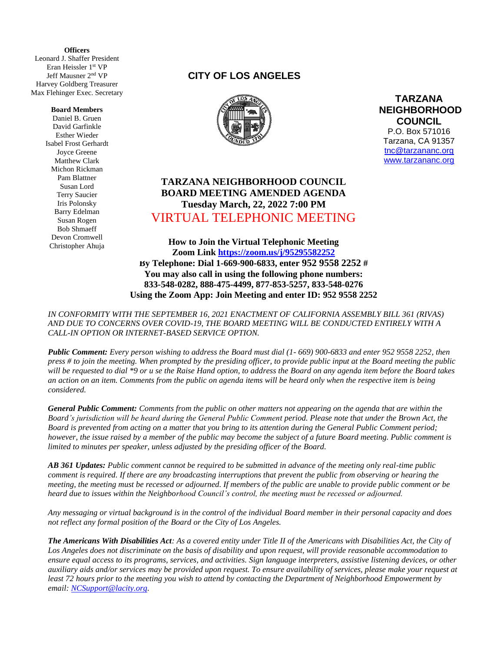**(** Leonard J. Shaffer President **Officers** Eran Heissler 1st VP Jeff Mausner 2 nd VP Harvey Goldberg Treasurer Max Flehinger Exec. Secretary

#### **Board Members**

Daniel B. Gruen David Garfinkle Esther Wieder Isabel Frost Gerhardt Joyce Greene Matthew Clark Michon Rickman Pam Blattner Susan Lord Terry Saucier Iris Polonsky Barry Edelman Susan Rogen Bob Shmaeff Devon Cromwell Christopher Ahuja

## **CITY OF LOS ANGELES**



**TARZANA NEIGHBORHOOD COUNCIL**  P.O. Box 571016 Tarzana, CA 91357 [tnc@tarzananc.org](mailto:tnc@tarzananc.org) [www.tarzananc.org](http://www.tarzananc.org/)

# **TARZANA NEIGHBORHOOD COUNCIL BOARD MEETING AMENDED AGENDA Tuesday March, 22, 2022 7:00 PM** VIRTUAL TELEPHONIC MEETING

**How to Join the Virtual Telephonic Meeting Zoom Link<https://zoom.us/j/95295582252> By Telephone: Dial 1-669-900-6833, enter 952 9558 2252 # You may also call in using the following phone numbers: 833-548-0282, 888-475-4499, 877-853-5257, 833-548-0276 Using the Zoom App: Join Meeting and enter ID: 952 9558 2252**

*IN CONFORMITY WITH THE SEPTEMBER 16, 2021 ENACTMENT OF CALIFORNIA ASSEMBLY BILL 361 (RIVAS) AND DUE TO CONCERNS OVER COVID-19, THE BOARD MEETING WILL BE CONDUCTED ENTIRELY WITH A CALL-IN OPTION OR INTERNET-BASED SERVICE OPTION.* 

*Public Comment: Every person wishing to address the Board must dial (1- 669) 900-6833 and enter 952 9558 2252, then press # to join the meeting. When prompted by the presiding officer, to provide public input at the Board meeting the public will be requested to dial \*9 or u se the Raise Hand option, to address the Board on any agenda item before the Board takes an action on an item. Comments from the public on agenda items will be heard only when the respective item is being considered.*

*General Public Comment: Comments from the public on other matters not appearing on the agenda that are within the Board's jurisdiction will be heard during the General Public Comment period. Please note that under the Brown Act, the Board is prevented from acting on a matter that you bring to its attention during the General Public Comment period; however, the issue raised by a member of the public may become the subject of a future Board meeting. Public comment is limited to minutes per speaker, unless adjusted by the presiding officer of the Board.*

*AB 361 Updates: Public comment cannot be required to be submitted in advance of the meeting only real-time public comment is required. If there are any broadcasting interruptions that prevent the public from observing or hearing the meeting, the meeting must be recessed or adjourned. If members of the public are unable to provide public comment or be heard due to issues within the Neighborhood Council's control, the meeting must be recessed or adjourned.*

*Any messaging or virtual background is in the control of the individual Board member in their personal capacity and does not reflect any formal position of the Board or the City of Los Angeles.*

*The Americans With Disabilities Act: As a covered entity under Title II of the Americans with Disabilities Act, the City of Los Angeles does not discriminate on the basis of disability and upon request, will provide reasonable accommodation to ensure equal access to its programs, services, and activities. Sign language interpreters, assistive listening devices, or other auxiliary aids and/or services may be provided upon request. To ensure availability of services, please make your request at least 72 hours prior to the meeting you wish to attend by contacting the Department of Neighborhood Empowerment by email: [NCSupport@lacity.org.](mailto:NCSupport@lacity.org)*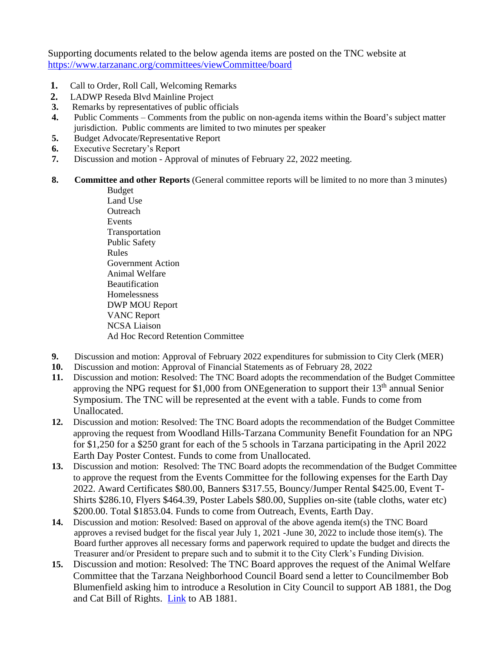Supporting documents related to the below agenda items are posted on the TNC website at <https://www.tarzananc.org/committees/viewCommittee/board>

- **1.** Call to Order, Roll Call, Welcoming Remarks
- **2.** LADWP Reseda Blvd Mainline Project
- **3.** Remarks by representatives of public officials
- **4.** Public Comments Comments from the public on non-agenda items within the Board's subject matter jurisdiction. Public comments are limited to two minutes per speaker
- **5.** Budget Advocate/Representative Report
- **6.** Executive Secretary's Report
- **7.** Discussion and motion Approval of minutes of February 22, 2022 meeting.
- **8. Committee and other Reports** (General committee reports will be limited to no more than 3 minutes)

Budget Land Use **Outreach** Events Transportation Public Safety Rules Government Action Animal Welfare Beautification Homelessness DWP MOU Report VANC Report NCSA Liaison Ad Hoc Record Retention Committee

- **9.** Discussion and motion: Approval of February 2022 expenditures for submission to City Clerk (MER)
- **10.** Discussion and motion: Approval of Financial Statements as of February 28, 2022
- **11.** Discussion and motion: Resolved: The TNC Board adopts the recommendation of the Budget Committee approving the NPG request for \$1,000 from ONE generation to support their  $13<sup>th</sup>$  annual Senior Symposium. The TNC will be represented at the event with a table. Funds to come from Unallocated.
- **12.** Discussion and motion: Resolved: The TNC Board adopts the recommendation of the Budget Committee approving the request from Woodland Hills-Tarzana Community Benefit Foundation for an NPG for \$1,250 for a \$250 grant for each of the 5 schools in Tarzana participating in the April 2022 Earth Day Poster Contest. Funds to come from Unallocated.
- **13.** Discussion and motion: Resolved: The TNC Board adopts the recommendation of the Budget Committee to approve the request from the Events Committee for the following expenses for the Earth Day 2022. Award Certificates \$80.00, Banners \$317.55, Bouncy/Jumper Rental \$425.00, Event T-Shirts \$286.10, Flyers \$464.39, Poster Labels \$80.00, Supplies on-site (table cloths, water etc) \$200.00. Total \$1853.04. Funds to come from Outreach, Events, Earth Day.
- **14.** Discussion and motion: Resolved: Based on approval of the above agenda item(s) the TNC Board approves a revised budget for the fiscal year July 1, 2021 -June 30, 2022 to include those item(s). The Board further approves all necessary forms and paperwork required to update the budget and directs the Treasurer and/or President to prepare such and to submit it to the City Clerk's Funding Division.
- **15.** Discussion and motion: Resolved: The TNC Board approves the request of the Animal Welfare Committee that the Tarzana Neighborhood Council Board send a letter to Councilmember Bob Blumenfield asking him to introduce a Resolution in City Council to support AB 1881, the Dog and Cat Bill of Rights. [Link](https://leginfo.legislature.ca.gov/faces/billTextClient.xhtml?bill_id=202120220AB1881#:~:text=AB%201881%2C%20as%20introduced%2C%20Santiago.%20Animal%20welfare%3A%20Dog,to%20abuse%20or%20neglect%20an%20animal%2C%20as%20specified) to AB 1881.